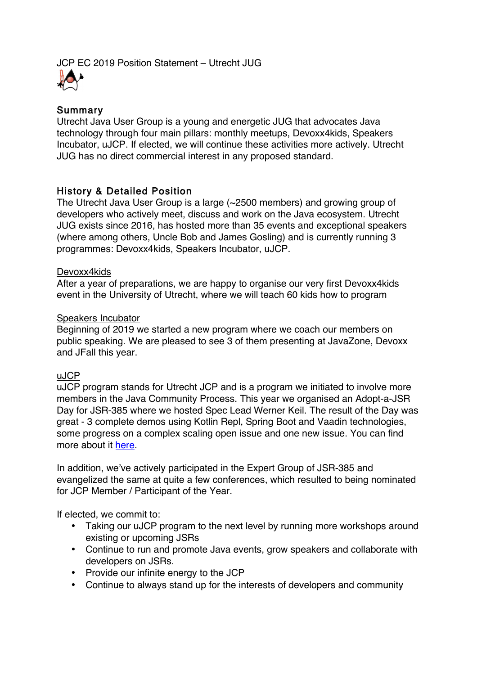JCP EC 2019 Position Statement – Utrecht JUG



### Summary

Utrecht Java User Group is a young and energetic JUG that advocates Java technology through four main pillars: monthly meetups, Devoxx4kids, Speakers Incubator, uJCP. If elected, we will continue these activities more actively. Utrecht JUG has no direct commercial interest in any proposed standard.

## History & Detailed Position

The Utrecht Java User Group is a large (~2500 members) and growing group of developers who actively meet, discuss and work on the Java ecosystem. Utrecht JUG exists since 2016, has hosted more than 35 events and exceptional speakers (where among others, Uncle Bob and James Gosling) and is currently running 3 programmes: Devoxx4kids, Speakers Incubator, uJCP.

### Devoxx4kids

After a year of preparations, we are happy to organise our very first Devoxx4kids event in the University of Utrecht, where we will teach 60 kids how to program

### Speakers Incubator

Beginning of 2019 we started a new program where we coach our members on public speaking. We are pleased to see 3 of them presenting at JavaZone, Devoxx and JFall this year.

### uJCP

uJCP program stands for Utrecht JCP and is a program we initiated to involve more members in the Java Community Process. This year we organised an Adopt-a-JSR Day for JSR-385 where we hosted Spec Lead Werner Keil. The result of the Day was great - 3 complete demos using Kotlin Repl, Spring Boot and Vaadin technologies, some progress on a complex scaling open issue and one new issue. You can find more about it here.

In addition, we've actively participated in the Expert Group of JSR-385 and evangelized the same at quite a few conferences, which resulted to being nominated for JCP Member / Participant of the Year.

If elected, we commit to:

- Taking our uJCP program to the next level by running more workshops around existing or upcoming JSRs
- Continue to run and promote Java events, grow speakers and collaborate with developers on JSRs.
- Provide our infinite energy to the JCP
- Continue to always stand up for the interests of developers and community